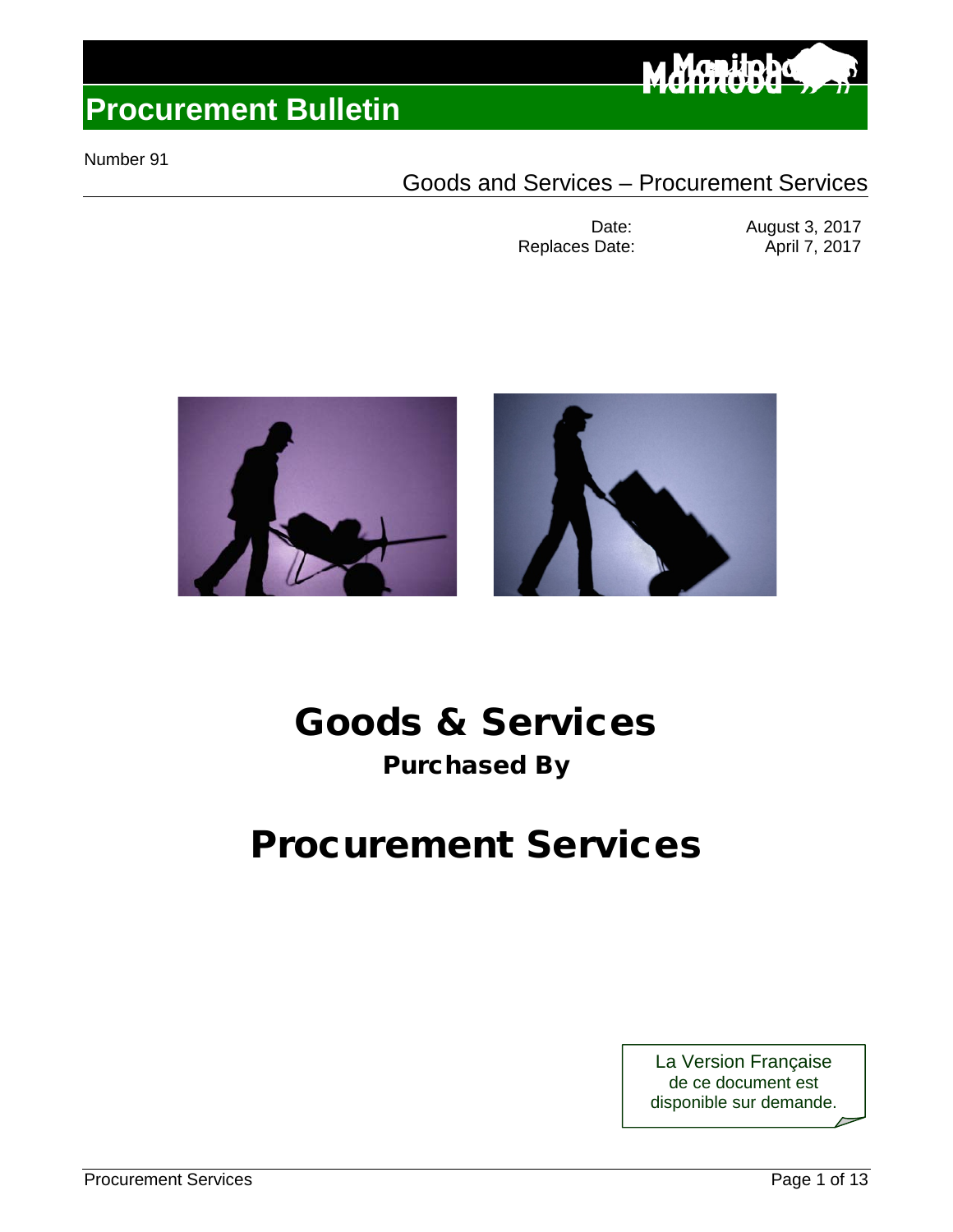

#### Number 91

### Goods and Services – Procurement Services

Replaces Date:

Date: August 3, 2017<br>Date: April 7, 2017



# Goods & Services

# Purchased By

# Procurement Services

La Version Française de ce document est disponible sur demande.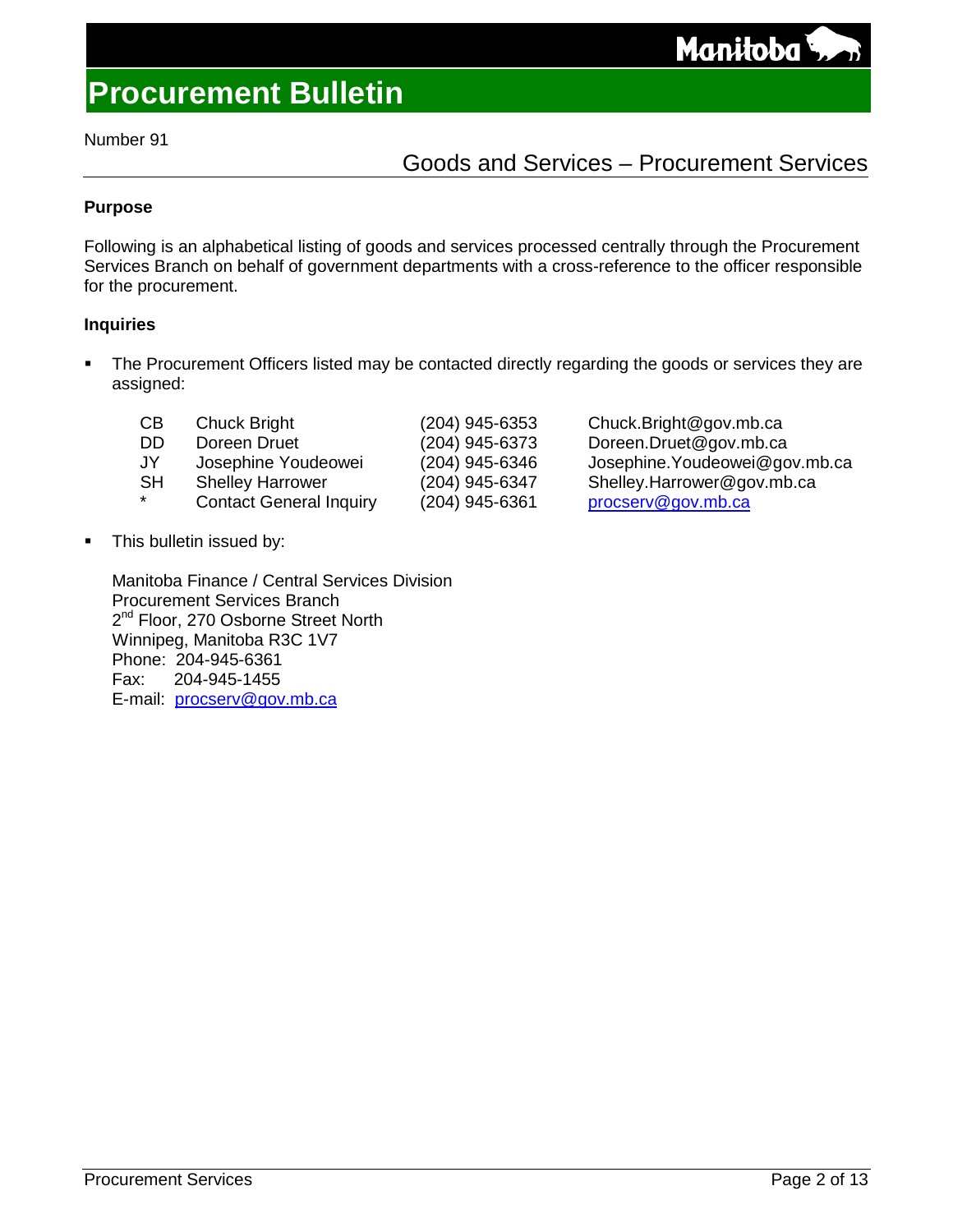Number 91

### Goods and Services – Procurement Services

#### **Purpose**

Following is an alphabetical listing of goods and services processed centrally through the Procurement Services Branch on behalf of government departments with a cross-reference to the officer responsible for the procurement.

#### **Inquiries**

- The Procurement Officers listed may be contacted directly regarding the goods or services they are assigned:
	-

Contact General Inquiry (204) 945-6361

CB Chuck Bright (204) 945-6353 Chuck.Bright@gov.mb.ca<br>DD Doreen Druet (204) 945-6373 Doreen.Druet@gov.mb.ca DD Doreen Druet (204) 945-6373 Doreen.Druet@gov.mb.ca<br>JY Josephine Youdeowei (204) 945-6346 Josephine.Youdeowei@gc JY Josephine Youdeowei (204) 945-6346 Josephine.Youdeowei@gov.mb.ca<br>SH Shelley Harrower (204) 945-6347 Shelley.Harrower@gov.mb.ca SH Shelley Harrower (204) 945-6347 Shelley.Harrower@gov.mb.ca<br>\* Contact General Inquiry (204) 945-6361 procserv@gov.mb.ca

**This bulletin issued by:** 

Manitoba Finance / Central Services Division Procurement Services Branch 2<sup>nd</sup> Floor, 270 Osborne Street North Winnipeg, Manitoba R3C 1V7 Phone: 204-945-6361<br>Fax: 204-945-1455 204-945-1455 E-mail: procserv@gov.mb.ca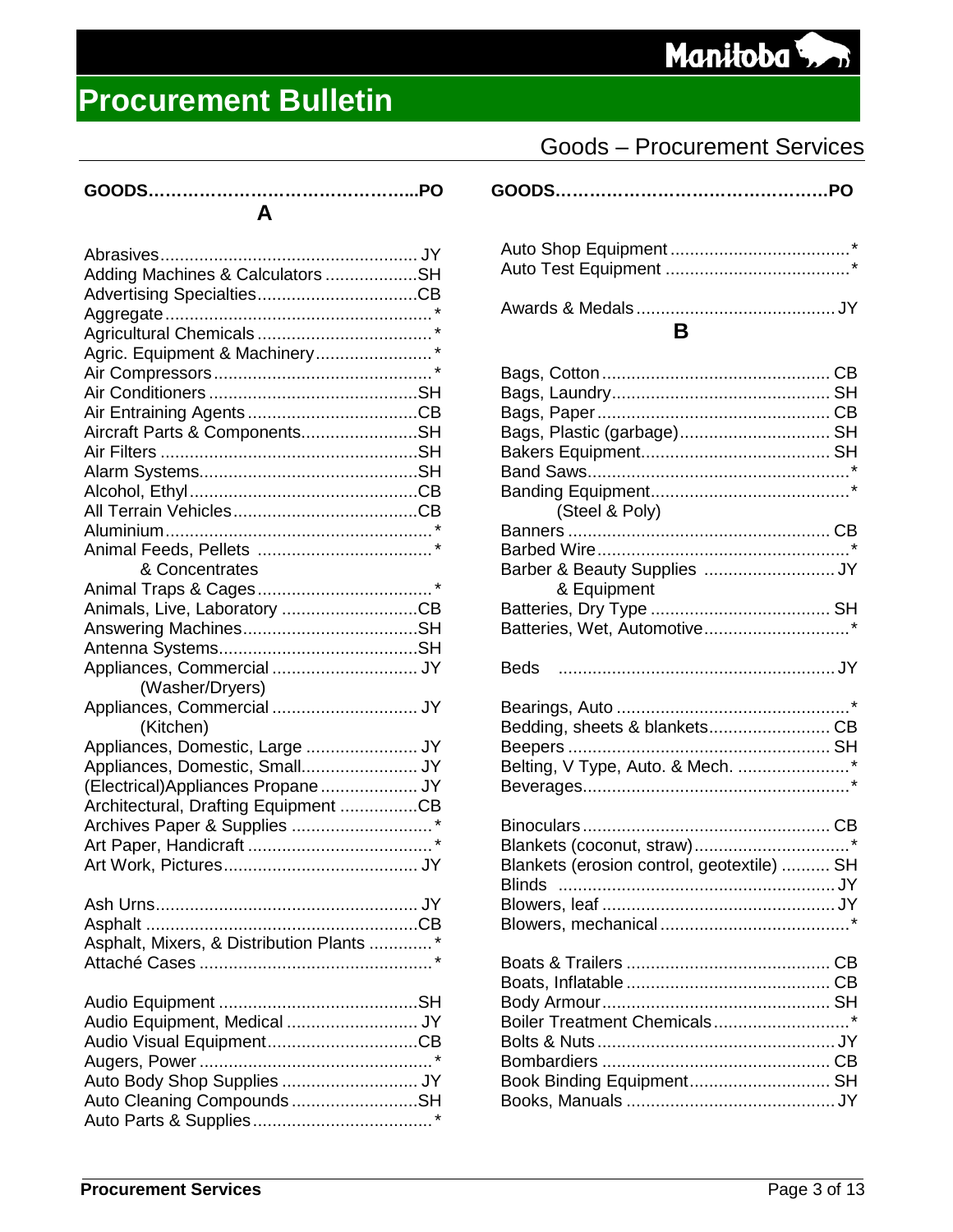#### Manitoba<sup>5</sup> D)

# **Procurement Bulletin**

| Adding Machines & Calculators SH              |  |
|-----------------------------------------------|--|
|                                               |  |
|                                               |  |
|                                               |  |
| Agric. Equipment & Machinery*                 |  |
|                                               |  |
|                                               |  |
|                                               |  |
| Aircraft Parts & ComponentsSH                 |  |
|                                               |  |
|                                               |  |
|                                               |  |
|                                               |  |
|                                               |  |
|                                               |  |
| & Concentrates                                |  |
|                                               |  |
| Animals, Live, Laboratory CB                  |  |
|                                               |  |
| Appliances, Commercial  JY                    |  |
|                                               |  |
| (Washer/Dryers)<br>Appliances, Commercial  JY |  |
| (Kitchen)                                     |  |
| Appliances, Domestic, Large  JY               |  |
| Appliances, Domestic, Small JY                |  |
| (Electrical) Appliances Propane JY            |  |
| Architectural, Drafting Equipment CB          |  |
| Archives Paper & Supplies *                   |  |
|                                               |  |
|                                               |  |
|                                               |  |
|                                               |  |
|                                               |  |
| Asphalt, Mixers, & Distribution Plants *      |  |
|                                               |  |
|                                               |  |
|                                               |  |
| Audio Equipment, Medical  JY                  |  |
| Audio Visual EquipmentCB                      |  |
|                                               |  |
| Auto Body Shop Supplies  JY                   |  |
| Auto Cleaning CompoundsSH                     |  |
|                                               |  |

# Goods – Procurement Services

#### **B**

| Bags, Plastic (garbage) SH                 |  |
|--------------------------------------------|--|
| (Steel & Poly)                             |  |
|                                            |  |
| Barber & Beauty Supplies  JY               |  |
| & Equipment                                |  |
|                                            |  |
| Batteries, Wet, Automotive*                |  |
|                                            |  |
| <b>Beds</b>                                |  |
|                                            |  |
| Bedding, sheets & blankets CB              |  |
|                                            |  |
| Belting, V Type, Auto. & Mech. *           |  |
|                                            |  |
|                                            |  |
|                                            |  |
| Blankets (erosion control, geotextile)  SH |  |
| <b>Blinds</b>                              |  |
|                                            |  |
|                                            |  |
| Boiler Treatment Chemicals*                |  |
|                                            |  |
| Book Binding Equipment SH                  |  |
|                                            |  |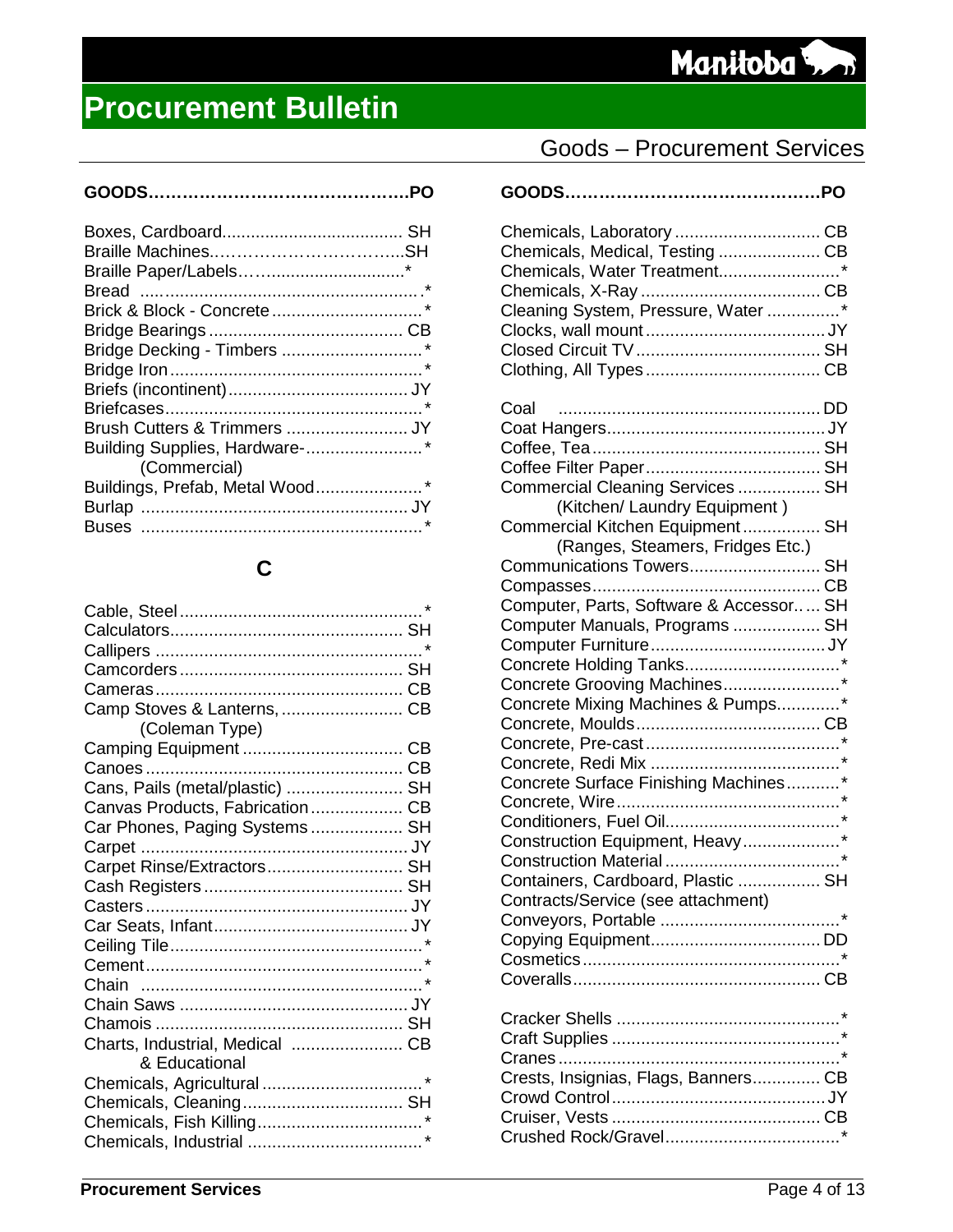

| Bridge Decking - Timbers *                    |         |
|-----------------------------------------------|---------|
|                                               | $\star$ |
|                                               |         |
|                                               |         |
| Brush Cutters & Trimmers  JY                  |         |
|                                               |         |
|                                               |         |
| Building Supplies, Hardware-*<br>(Commercial) |         |
| Buildings, Prefab, Metal Wood*                |         |
|                                               |         |
|                                               |         |

# **C**

| Camp Stoves & Lanterns,  CB     |  |
|---------------------------------|--|
| (Coleman Type)                  |  |
|                                 |  |
|                                 |  |
| Cans, Pails (metal/plastic)  SH |  |
| Canvas Products, Fabrication CB |  |
| Car Phones, Paging Systems SH   |  |
|                                 |  |
| Carpet Rinse/Extractors SH      |  |
|                                 |  |
|                                 |  |
|                                 |  |
|                                 |  |
|                                 |  |
|                                 |  |
|                                 |  |
|                                 |  |
| Charts, Industrial, Medical  CB |  |
| & Educational                   |  |
|                                 |  |
|                                 |  |
|                                 |  |
|                                 |  |
|                                 |  |

# Goods – Procurement Services

| Chemicals, Laboratory  CB |                                                                                                                       |
|---------------------------|-----------------------------------------------------------------------------------------------------------------------|
| Chamicale Madical Tacting | <u>nd</u> and the contract of the contract of the contract of the contract of the contract of the contract of the con |

| Chemicals, Medical, Testing CB          |  |
|-----------------------------------------|--|
| Chemicals, Water Treatment*             |  |
|                                         |  |
| Cleaning System, Pressure, Water *      |  |
|                                         |  |
|                                         |  |
|                                         |  |
|                                         |  |
| Coal                                    |  |
|                                         |  |
|                                         |  |
|                                         |  |
| Commercial Cleaning Services  SH        |  |
|                                         |  |
| (Kitchen/ Laundry Equipment)            |  |
| Commercial Kitchen Equipment SH         |  |
| (Ranges, Steamers, Fridges Etc.)        |  |
| Communications Towers SH                |  |
|                                         |  |
| Computer, Parts, Software & Accessor SH |  |
| Computer Manuals, Programs  SH          |  |
|                                         |  |
|                                         |  |
| Concrete Grooving Machines*             |  |
| Concrete Mixing Machines & Pumps*       |  |
|                                         |  |
|                                         |  |
|                                         |  |
| Concrete Surface Finishing Machines*    |  |
|                                         |  |
|                                         |  |
| Construction Equipment, Heavy*          |  |
|                                         |  |
| Containers, Cardboard, Plastic  SH      |  |
| Contracts/Service (see attachment)      |  |
|                                         |  |
|                                         |  |
|                                         |  |
|                                         |  |
|                                         |  |
|                                         |  |
|                                         |  |
|                                         |  |
|                                         |  |
| Crests, Insignias, Flags, Banners CB    |  |
|                                         |  |
|                                         |  |
|                                         |  |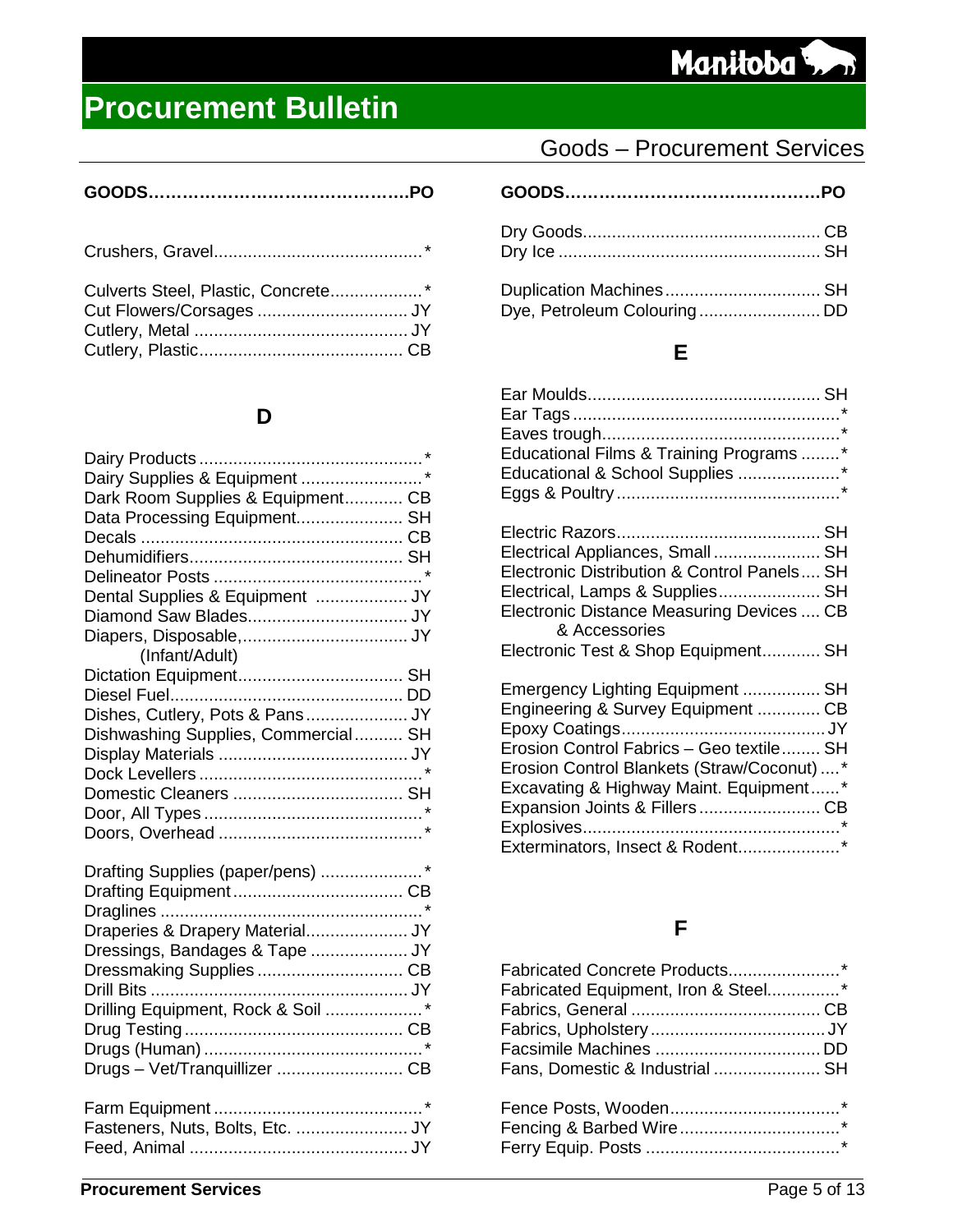# Manitoba<sup>5</sup>

# **Procurement Bulletin**

| Culverts Steel, Plastic, Concrete* |  |
|------------------------------------|--|
|                                    |  |

### **D**

| Dairy Supplies & Equipment *        |  |
|-------------------------------------|--|
| Dark Room Supplies & Equipment CB   |  |
| Data Processing Equipment SH        |  |
|                                     |  |
|                                     |  |
|                                     |  |
| Dental Supplies & Equipment  JY     |  |
|                                     |  |
|                                     |  |
| (Infant/Adult)                      |  |
|                                     |  |
|                                     |  |
| Dishes, Cutlery, Pots & Pans JY     |  |
| Dishwashing Supplies, Commercial SH |  |
|                                     |  |
|                                     |  |
|                                     |  |
|                                     |  |
|                                     |  |
|                                     |  |

| Drafting Supplies (paper/pens) *  |  |
|-----------------------------------|--|
|                                   |  |
|                                   |  |
| Draperies & Drapery Material JY   |  |
| Dressings, Bandages & Tape  JY    |  |
|                                   |  |
|                                   |  |
| Drilling Equipment, Rock & Soil * |  |
|                                   |  |
|                                   |  |
| Drugs - Vet/Tranquillizer  CB     |  |
|                                   |  |
|                                   |  |

# Goods – Procurement Services

### **E**

| Educational Films & Training Programs * |  |
|-----------------------------------------|--|
| Educational & School Supplies *         |  |
|                                         |  |

| Electrical Appliances, Small SH                            |  |
|------------------------------------------------------------|--|
| Electronic Distribution & Control Panels SH                |  |
| Electrical, Lamps & Supplies SH                            |  |
| Electronic Distance Measuring Devices  CB<br>& Accessories |  |
| Electronic Test & Shop Equipment SH                        |  |
| Emergency Lighting Equipment  SH                           |  |
| Engineering & Survey Equipment  CB                         |  |
|                                                            |  |
| Erosion Control Fabrics - Geo textile SH                   |  |
| Erosion Control Blankets (Straw/Coconut) *                 |  |
| Excavating & Highway Maint. Equipment*                     |  |
| Expansion Joints & FillersCB                               |  |
|                                                            |  |
| Exterminators, Insect & Rodent*                            |  |

### **F**

| Fabricated Concrete Products*       |  |
|-------------------------------------|--|
| Fabricated Equipment, Iron & Steel* |  |
|                                     |  |
|                                     |  |
|                                     |  |
| Fans, Domestic & Industrial  SH     |  |
|                                     |  |
|                                     |  |
|                                     |  |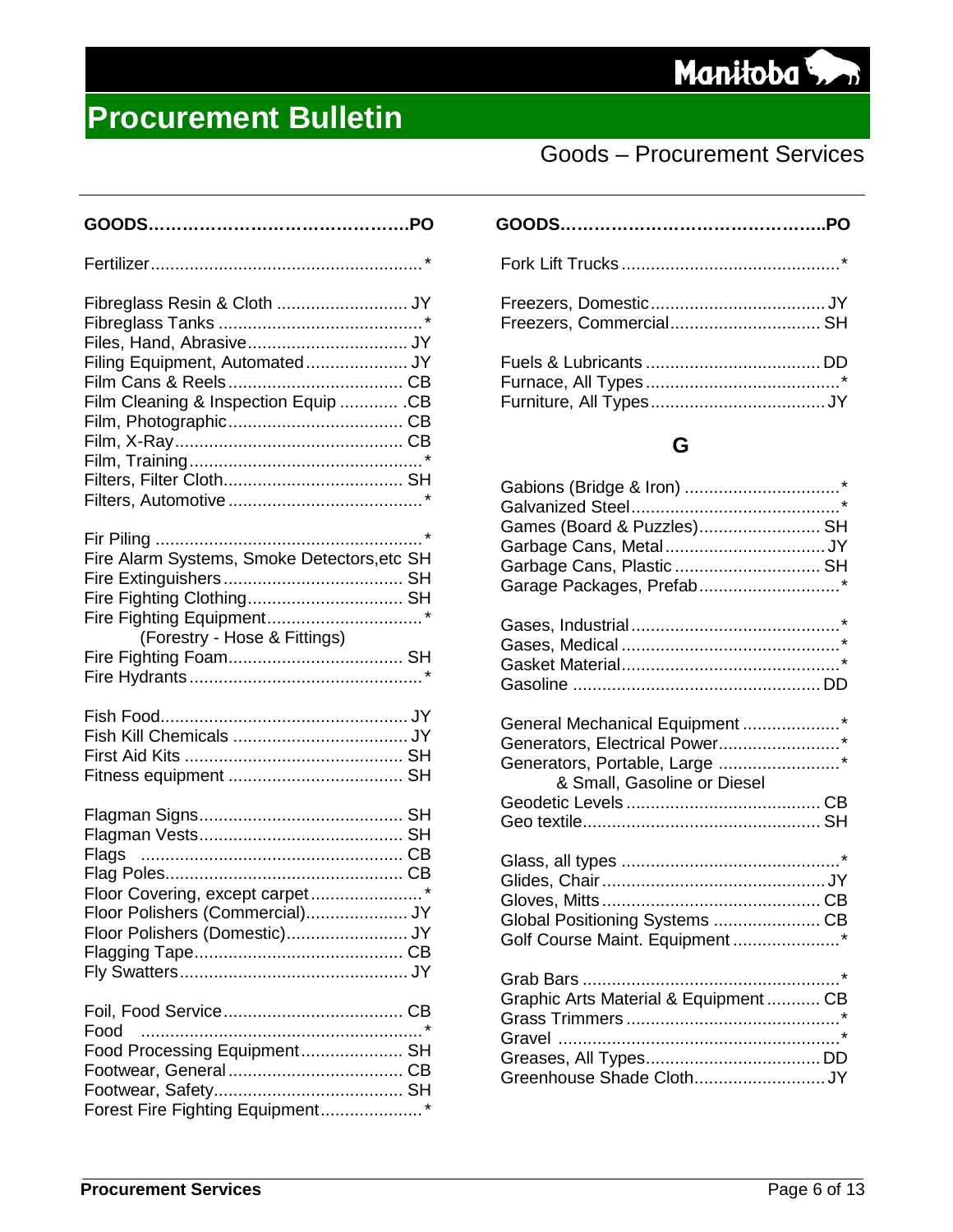

| Fibreglass Resin & Cloth  JY<br>Filing Equipment, Automated JY<br>Film Cleaning & Inspection Equip  .CB |  |
|---------------------------------------------------------------------------------------------------------|--|
| Fire Alarm Systems, Smoke Detectors, etc SH<br>(Forestry - Hose & Fittings)                             |  |
|                                                                                                         |  |
| Floor Covering, except carpet*                                                                          |  |
| Food                                                                                                    |  |
| Food Processing Equipment SH<br>Forest Fire Fighting Equipment*                                         |  |

| Fibreglass Resin & Cloth  JY          |  |
|---------------------------------------|--|
|                                       |  |
|                                       |  |
| Filing Equipment, Automated JY        |  |
|                                       |  |
| Film Cleaning & Inspection Equip  .CB |  |
| <u>Eilm Dhotographia</u> ann an CD    |  |

### **G**

| Games (Board & Puzzles) SH<br>Garbage Cans, Plastic  SH<br>Garage Packages, Prefab*                                             |  |
|---------------------------------------------------------------------------------------------------------------------------------|--|
|                                                                                                                                 |  |
| General Mechanical Equipment *<br>Generators, Electrical Power*<br>Generators, Portable, Large *<br>& Small, Gasoline or Diesel |  |
| Global Positioning Systems  CB<br>Golf Course Maint. Equipment*                                                                 |  |
| Graphic Arts Material & Equipment  CB                                                                                           |  |
|                                                                                                                                 |  |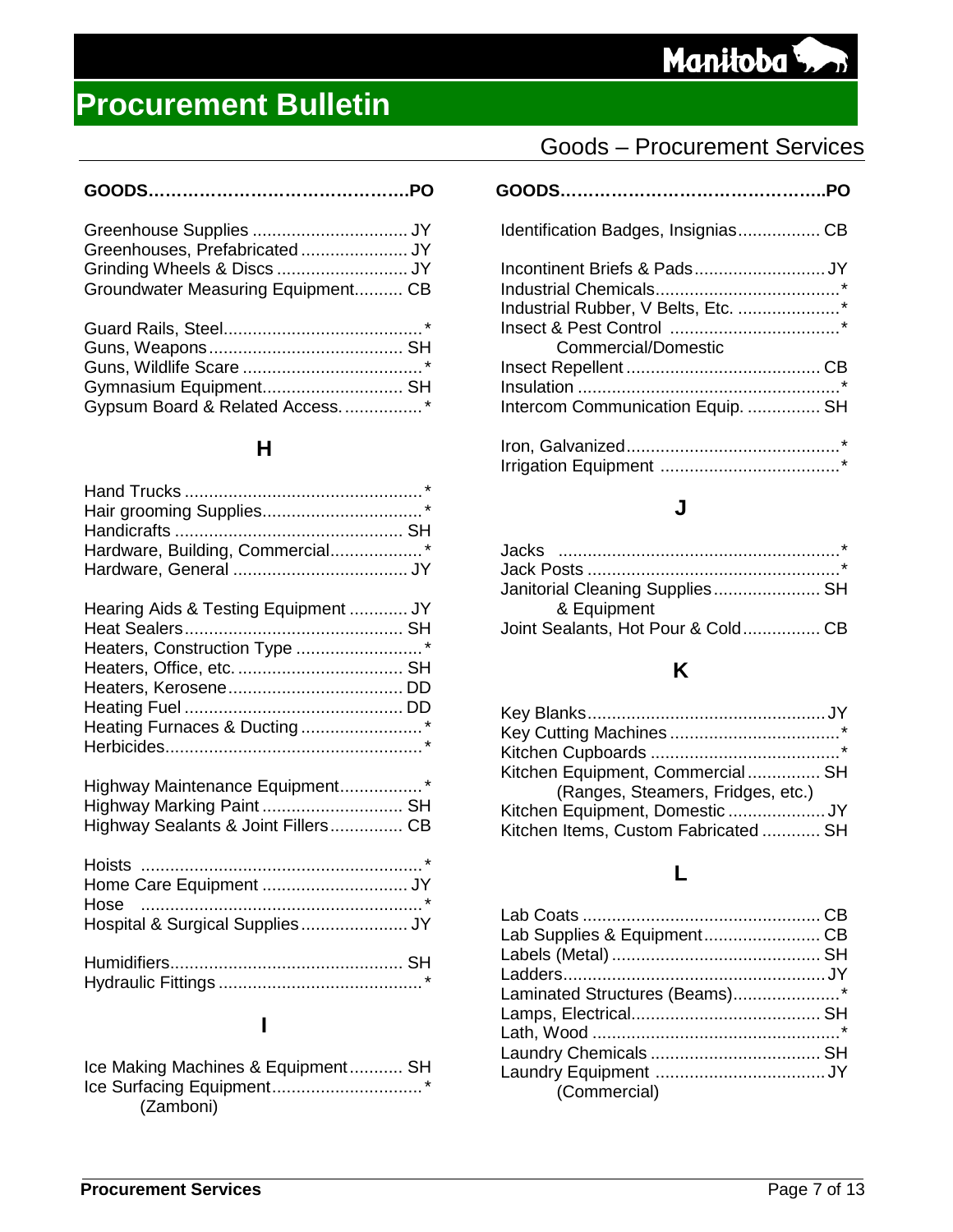# Manitoba<sup>5</sup>

# **Procurement Bulletin**

| Groundwater Measuring Equipment CB |  |
|------------------------------------|--|

| Gymnasium Equipment SH         |  |
|--------------------------------|--|
| Gypsum Board & Related Access* |  |

### **H**

| Hardware, Building, Commercial*      |  |
|--------------------------------------|--|
|                                      |  |
| Hearing Aids & Testing Equipment  JY |  |
|                                      |  |
| Heaters, Construction Type *         |  |
|                                      |  |
|                                      |  |
|                                      |  |
| Heating Furnaces & Ducting*          |  |
|                                      |  |
| Highway Maintenance Equipment*       |  |

| <b>Figured Wallet ance Equipment</b> |  |
|--------------------------------------|--|
|                                      |  |
| Highway Sealants & Joint Fillers CB  |  |
|                                      |  |

| Hospital & Surgical Supplies JY |  |
|---------------------------------|--|

### **I**

| Ice Making Machines & Equipment SH |  |
|------------------------------------|--|
|                                    |  |
| (Zamboni)                          |  |

# Goods – Procurement Services

| Identification Badges, InsigniasCB |  |
|------------------------------------|--|
|                                    |  |
| Industrial Rubber, V Belts, Etc. * |  |
|                                    |  |
| Commercial/Domestic                |  |
|                                    |  |
|                                    |  |
| Intercom Communication Equip.  SH  |  |
|                                    |  |

### **J**

Irrigation Equipment .....................................\*

| Jacks ……………………………………………… <sup>…</sup> |  |
|---------------------------------------|--|
|                                       |  |
| Janitorial Cleaning Supplies SH       |  |
| & Equipment                           |  |
| Joint Sealants, Hot Pour & Cold CB    |  |

# **K**

| Kitchen Equipment, Commercial SH    |  |
|-------------------------------------|--|
| (Ranges, Steamers, Fridges, etc.)   |  |
| Kitchen Equipment, Domestic  JY     |  |
| Kitchen Items, Custom Fabricated SH |  |

### **L**

| Lab Supplies & Equipment CB   |  |
|-------------------------------|--|
|                               |  |
|                               |  |
| Laminated Structures (Beams)* |  |
|                               |  |
|                               |  |
|                               |  |
|                               |  |
| (Commercial)                  |  |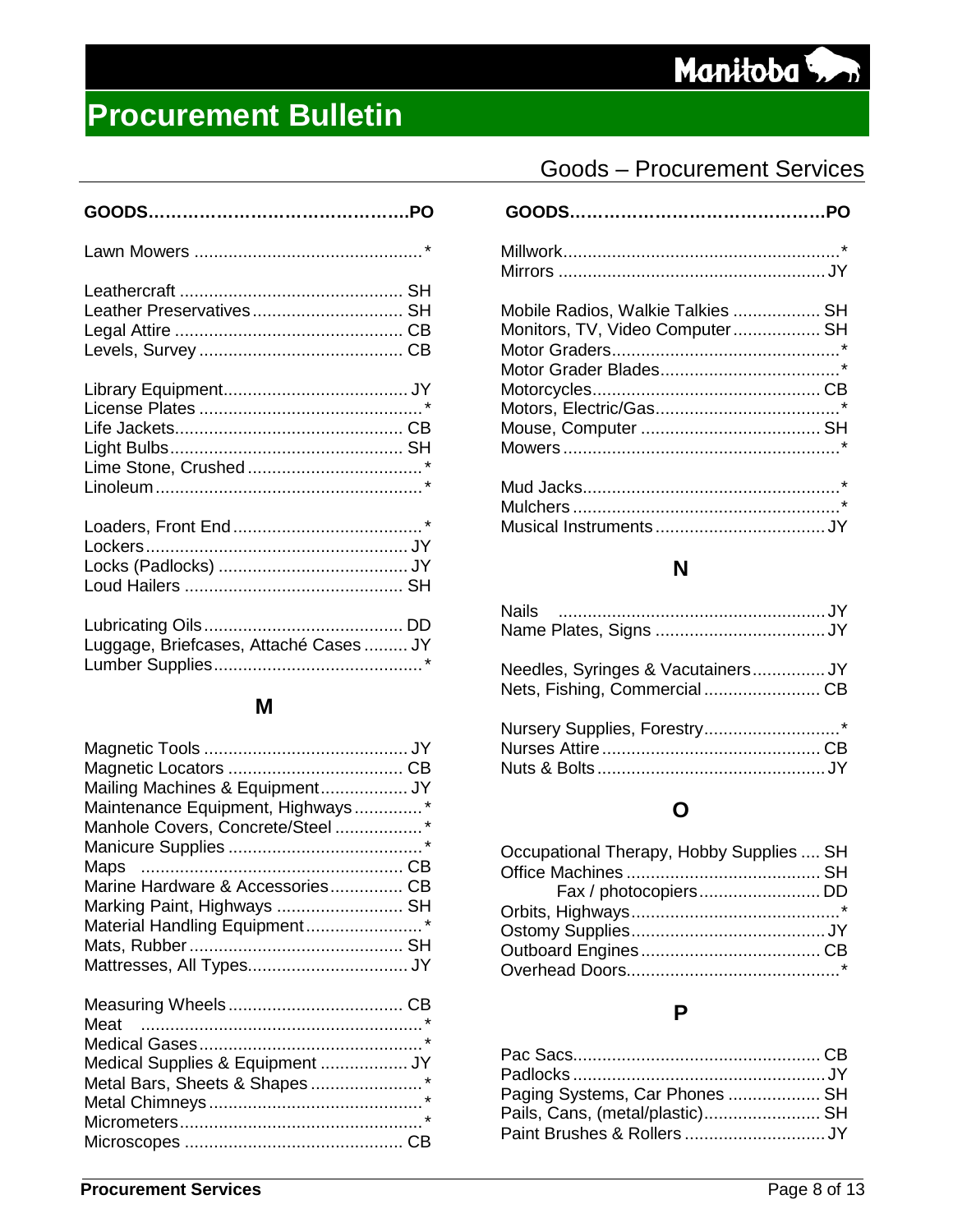

# Goods – Procurement Services

|                                       | Mobile Radios, Walkie Talkies  SH |
|---------------------------------------|-----------------------------------|
|                                       | Monitors, TV, Video Computer SH   |
|                                       |                                   |
|                                       |                                   |
|                                       |                                   |
|                                       |                                   |
|                                       |                                   |
|                                       |                                   |
|                                       |                                   |
|                                       |                                   |
|                                       |                                   |
|                                       |                                   |
|                                       |                                   |
|                                       | N                                 |
|                                       |                                   |
|                                       |                                   |
|                                       |                                   |
| Luggage, Briefcases, Attaché Cases JY |                                   |

#### **M**

Lumber Supplies...........................................\*

| Mailing Machines & Equipment JY  |         |
|----------------------------------|---------|
| Maintenance Equipment, Highways* |         |
| Manhole Covers, Concrete/Steel * |         |
|                                  |         |
|                                  |         |
| Marine Hardware & Accessories CB |         |
| Marking Paint, Highways  SH      |         |
| Material Handling Equipment*     |         |
|                                  |         |
|                                  |         |
|                                  |         |
| Meat                             |         |
|                                  | $\star$ |

| Medical Supplies & Equipment  JY |  |
|----------------------------------|--|
|                                  |  |
|                                  |  |
|                                  |  |
|                                  |  |
|                                  |  |

| Mobile Radios, Walkie Talkies  SH |  |
|-----------------------------------|--|
| Monitors, TV, Video Computer SH   |  |
|                                   |  |
|                                   |  |
|                                   |  |
|                                   |  |
|                                   |  |
|                                   |  |
|                                   |  |
|                                   |  |

#### **N**

| Needles, Syringes & Vacutainers JY |  |
|------------------------------------|--|
| Nets, Fishing, CommercialCB        |  |

| Nursery Supplies, Forestry* |  |
|-----------------------------|--|
|                             |  |
|                             |  |

### **O**

| Occupational Therapy, Hobby Supplies  SH |  |
|------------------------------------------|--|
|                                          |  |
|                                          |  |
|                                          |  |
|                                          |  |
|                                          |  |
|                                          |  |

#### **P**

| Paging Systems, Car Phones  SH  |  |
|---------------------------------|--|
| Pails, Cans, (metal/plastic) SH |  |
|                                 |  |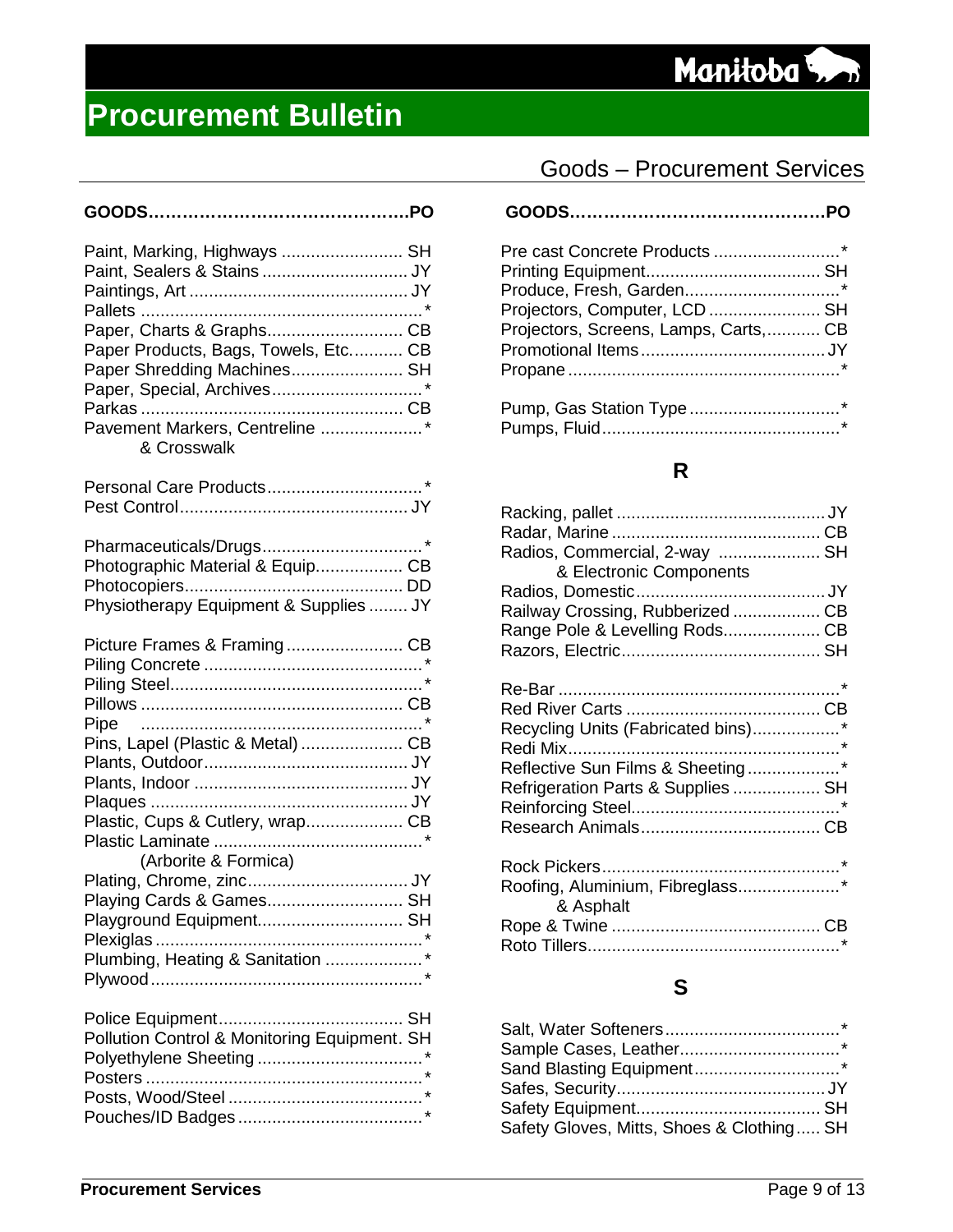

#### **GOODS……………………………………….PO GOODS………………………………………PO**

| Paint, Marking, Highways  SH         |  |
|--------------------------------------|--|
|                                      |  |
|                                      |  |
|                                      |  |
|                                      |  |
| Paper Products, Bags, Towels, Etc CB |  |
| Paper Shredding Machines SH          |  |
|                                      |  |
|                                      |  |
| Pavement Markers, Centreline *       |  |
| & Crosswalk                          |  |

| Photographic Material & Equip CB       |  |
|----------------------------------------|--|
|                                        |  |
| Physiotherapy Equipment & Supplies  JY |  |

| Pins, Lapel (Plastic & Metal)  CB |  |
|-----------------------------------|--|
|                                   |  |
|                                   |  |
|                                   |  |
|                                   |  |
|                                   |  |
| (Arborite & Formica)              |  |
|                                   |  |
| Playing Cards & Games SH          |  |
| Playground Equipment SH           |  |
|                                   |  |
| Plumbing, Heating & Sanitation *  |  |
|                                   |  |
|                                   |  |
|                                   |  |

| Pollution Control & Monitoring Equipment. SH |  |
|----------------------------------------------|--|
|                                              |  |
|                                              |  |
|                                              |  |
|                                              |  |

# Goods – Procurement Services

| Pre cast Concrete Products *         |  |
|--------------------------------------|--|
|                                      |  |
|                                      |  |
| Projectors, Computer, LCD  SH        |  |
| Projectors, Screens, Lamps, Carts,CB |  |
|                                      |  |
|                                      |  |
|                                      |  |
|                                      |  |

| Pump, Gas Station Type |  |
|------------------------|--|
|                        |  |

#### **R**

| Radios, Commercial, 2-way  SH<br>& Electronic Components                                                     |  |
|--------------------------------------------------------------------------------------------------------------|--|
| Railway Crossing, Rubberized  CB<br>Range Pole & Levelling RodsCB                                            |  |
| Recycling Units (Fabricated bins)*<br>Reflective Sun Films & Sheeting*<br>Refrigeration Parts & Supplies  SH |  |
| Roofing, Aluminium, Fibreglass*<br>& Asphalt                                                                 |  |

### **S**

| Safety Gloves, Mitts, Shoes & Clothing SH |  |
|-------------------------------------------|--|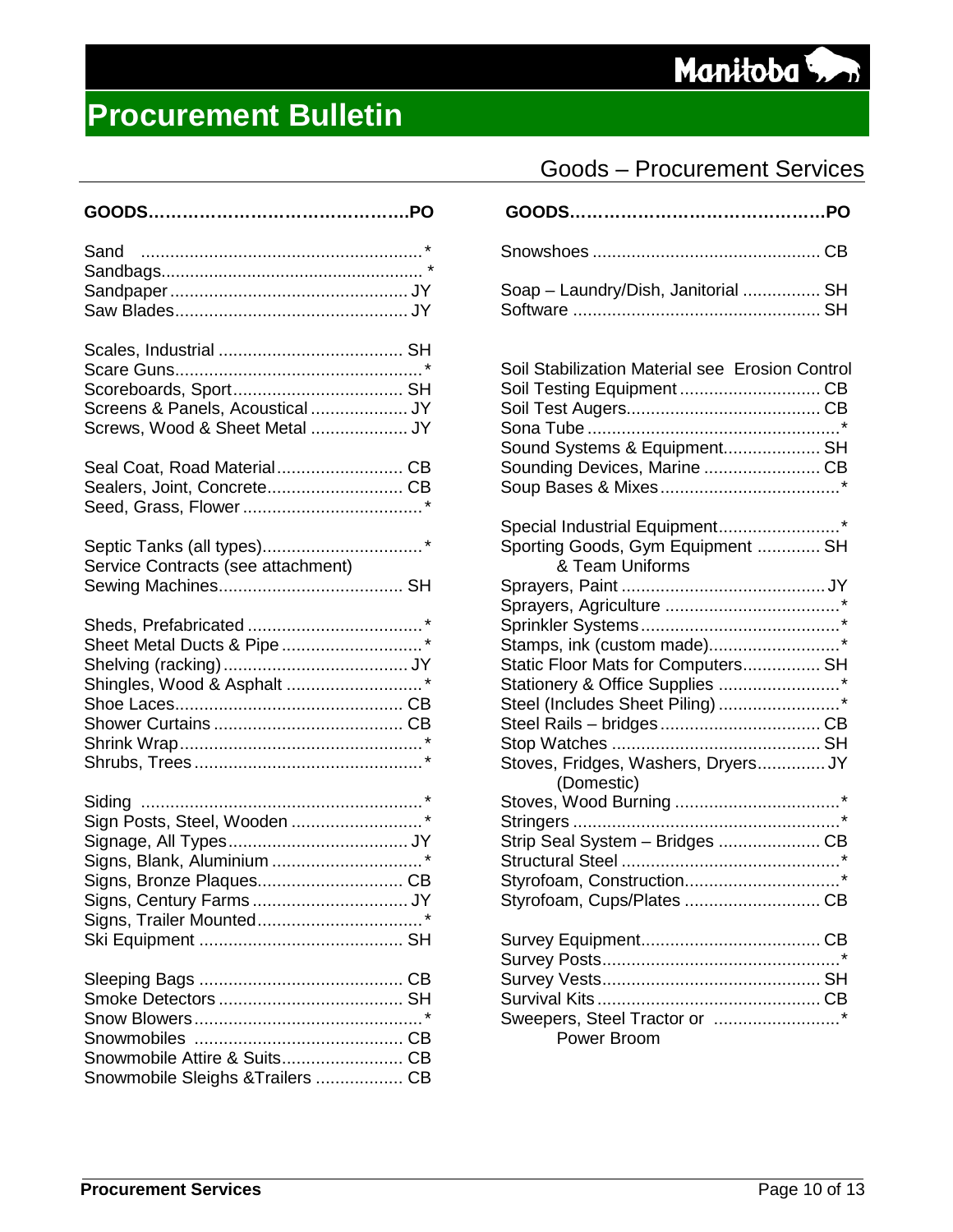

|                                    | Soap - Laundry/Dish, Janitorial  SH               |
|------------------------------------|---------------------------------------------------|
|                                    |                                                   |
|                                    |                                                   |
|                                    | Soil Stabilization Material see Erosion Control   |
|                                    |                                                   |
| Screens & Panels, Acoustical  JY   |                                                   |
| Screws, Wood & Sheet Metal  JY     |                                                   |
|                                    | Sound Systems & Equipment SH                      |
|                                    |                                                   |
|                                    |                                                   |
|                                    |                                                   |
|                                    | Special Industrial Equipment*                     |
|                                    | Sporting Goods, Gym Equipment  SH                 |
| Service Contracts (see attachment) | & Team Uniforms                                   |
|                                    |                                                   |
|                                    |                                                   |
|                                    |                                                   |
| Sheet Metal Ducts & Pipe*          | Stamps, ink (custom made)*                        |
|                                    | Static Floor Mats for Computers SH                |
| Shingles, Wood & Asphalt *         | Stationery & Office Supplies *                    |
|                                    | Steel (Includes Sheet Piling) *                   |
|                                    |                                                   |
|                                    |                                                   |
|                                    | Stoves, Fridges, Washers, Dryers JY<br>(Domestic) |
|                                    |                                                   |
| Sign Posts, Steel, Wooden *        |                                                   |
|                                    | Strip Seal System - Bridges  CB                   |
|                                    |                                                   |
| Signs, Bronze Plaques CB           |                                                   |
|                                    | Styrofoam, Cups/Plates CB                         |
|                                    |                                                   |
|                                    |                                                   |
|                                    |                                                   |
|                                    |                                                   |
|                                    |                                                   |
|                                    | Sweepers, Steel Tractor or *                      |
|                                    | Power Broom                                       |
| Snowmobile Attire & Suits CB       |                                                   |
|                                    |                                                   |
| Snowmobile Sleighs & Trailers  CB  |                                                   |

| <b>Goods-Procurement Services</b> |  |
|-----------------------------------|--|
|-----------------------------------|--|

| Soap - Laundry/Dish, Janitorial  SH                                                                                                                                                                                                                                                                                                                 |
|-----------------------------------------------------------------------------------------------------------------------------------------------------------------------------------------------------------------------------------------------------------------------------------------------------------------------------------------------------|
| Soil Stabilization Material see Erosion Control<br>Soil Testing Equipment  CB<br>Sound Systems & Equipment SH<br>Sounding Devices, Marine  CB                                                                                                                                                                                                       |
| Special Industrial Equipment*<br>Sporting Goods, Gym Equipment  SH<br>& Team Uniforms<br>Stamps, ink (custom made)*<br>Static Floor Mats for Computers SH<br>Stationery & Office Supplies *<br>Steel (Includes Sheet Piling) *<br>Stoves, Fridges, Washers, Dryers JY<br>(Domestic)<br>Strip Seal System - Bridges  CB<br>Styrofoam, Cups/Plates CB |
| Sweepers, Steel Tractor or *                                                                                                                                                                                                                                                                                                                        |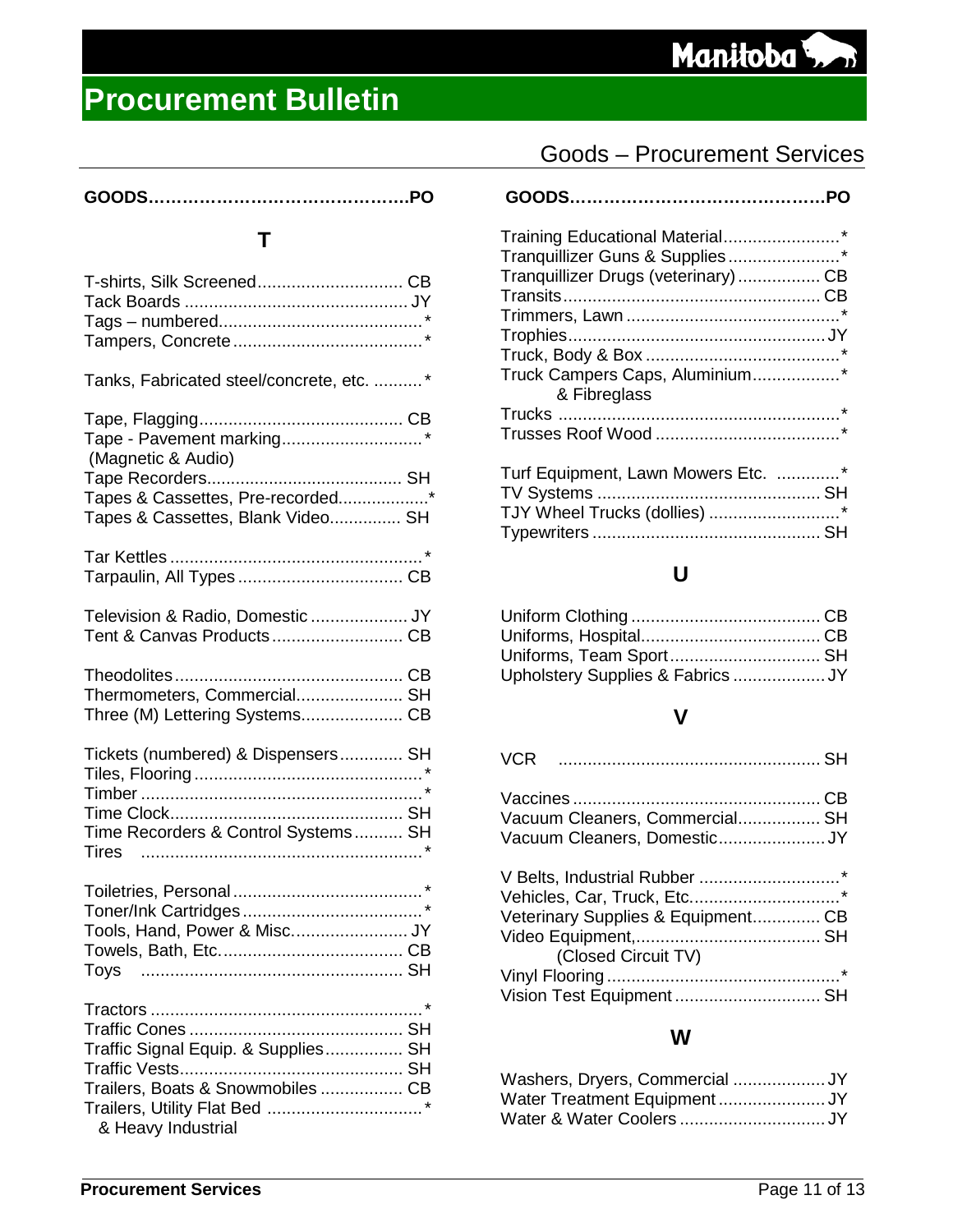#### **T**

| T-shirts, Silk Screened CB                                                                                              |  |
|-------------------------------------------------------------------------------------------------------------------------|--|
| Tanks, Fabricated steel/concrete, etc. *                                                                                |  |
| Tape - Pavement marking*<br>(Magnetic & Audio)<br>Tapes & Cassettes, Pre-recorded*<br>Tapes & Cassettes, Blank Video SH |  |
|                                                                                                                         |  |
| Television & Radio, Domestic  JY                                                                                        |  |
| Thermometers, Commercial SH<br>Three (M) Lettering Systems CB                                                           |  |
| Tickets (numbered) & Dispensers SH<br>Time Recorders & Control Systems SH<br>Tires                                      |  |
| Tools, Hand, Power & Misc JY<br>Toys                                                                                    |  |
| Traffic Signal Equip. & Supplies SH<br>Trailers, Boats & Snowmobiles  CB<br>& Heavy Industrial                          |  |

# Goods – Procurement Services

#### **GOODS……………………………………….PO GOODS………………………………………PO**

| Training Educational Material*      |  |
|-------------------------------------|--|
| Tranquillizer Guns & Supplies*      |  |
| Tranquillizer Drugs (veterinary) CB |  |
|                                     |  |
|                                     |  |
|                                     |  |
|                                     |  |
| Truck Campers Caps, Aluminium*      |  |
| & Fibreglass                        |  |
|                                     |  |
|                                     |  |
|                                     |  |
| Turf Equipment, Lawn Mowers Etc. *  |  |
|                                     |  |
| TJY Wheel Trucks (dollies) *        |  |
|                                     |  |

### **U**

Typewriters ............................................... SH

| Uniforms, Team Sport SH |
|-------------------------|
|                         |
|                         |

### **V**

| VCR |  |
|-----|--|
|     |  |

| Vacuum Cleaners, Commercial SH<br>Vacuum Cleaners, Domestic JY |  |
|----------------------------------------------------------------|--|
| V Belts, Industrial Rubber *                                   |  |
|                                                                |  |

| Veterinary Supplies & Equipment CB |  |
|------------------------------------|--|
|                                    |  |
| (Closed Circuit TV)                |  |
|                                    |  |
| Vision Test Equipment  SH          |  |

#### **W**

| Washers, Dryers, Commercial  JY |  |
|---------------------------------|--|
| Water Treatment EquipmentJY     |  |
|                                 |  |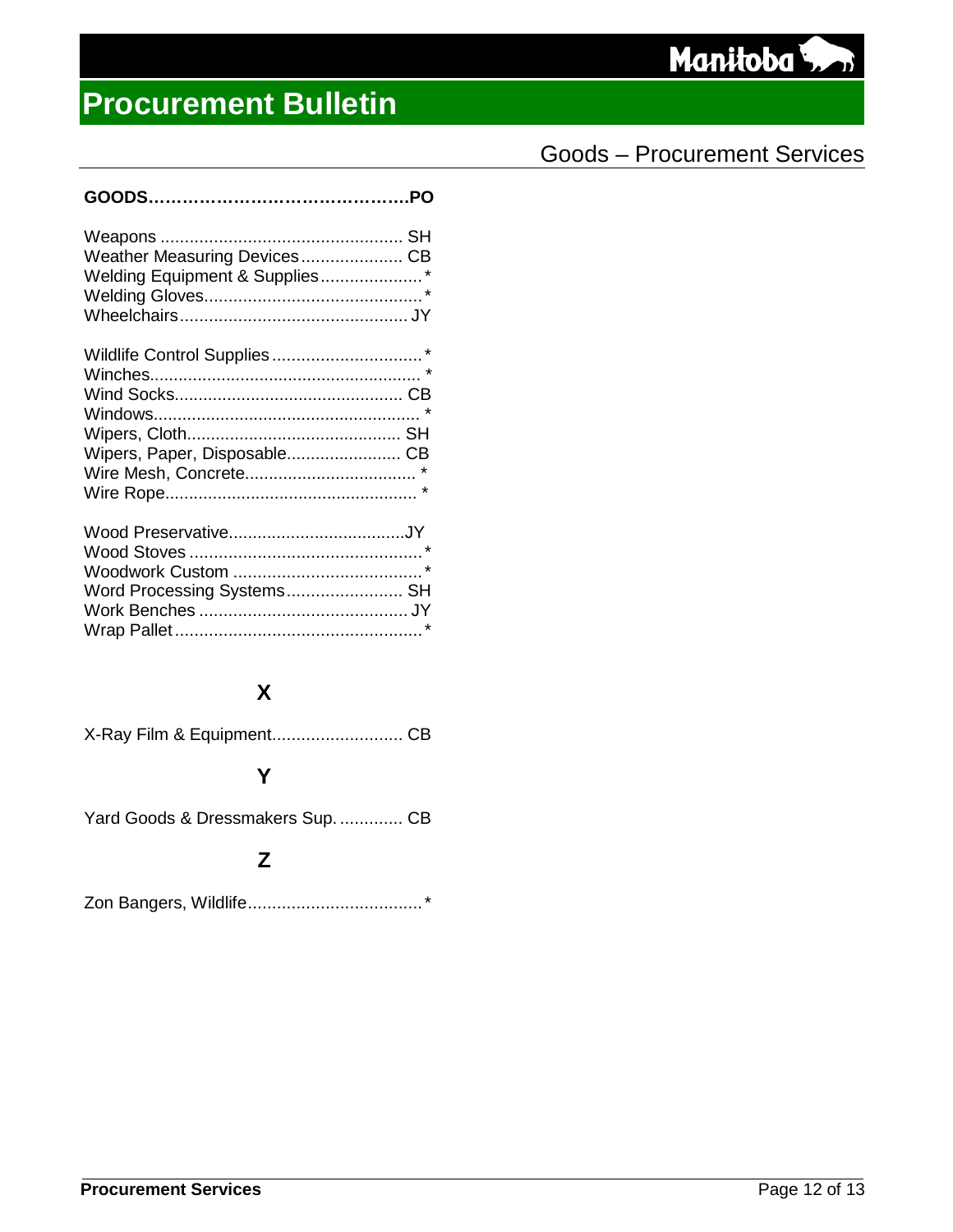| <b>Goods-Procurement Services</b> |
|-----------------------------------|
|-----------------------------------|

| Weather Measuring Devices CB<br>Welding Equipment & Supplies* |  |
|---------------------------------------------------------------|--|
| Wipers, Paper, Disposable CB                                  |  |
| Word Processing Systems SH                                    |  |

# **X**

|--|--|

# **Y**

Yard Goods & Dressmakers Sup. ............. CB

### **Z**

Zon Bangers, Wildlife....................................\*